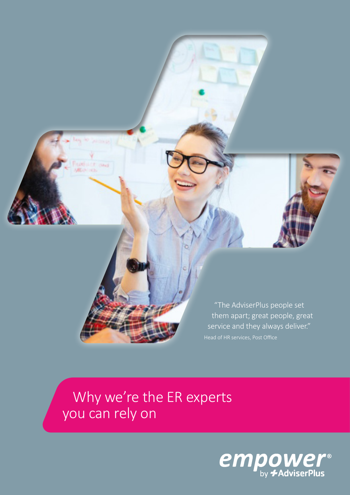

 Why we're the ER experts you can rely on